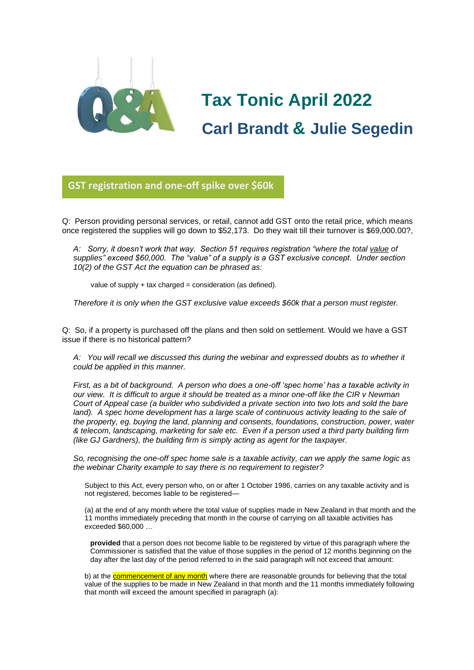

# **Tax Tonic April 2022 Carl Brandt & Julie Segedin**

**GST registration and one-off spike over \$60k**

Q: Person providing personal services, or retail, cannot add GST onto the retail price, which means once registered the supplies will go down to \$52,173. Do they wait till their turnover is \$69,000.00?,

*A: Sorry, it doesn't work that way. Section 51 requires registration "where the total value of supplies" exceed \$60,000. The "value" of a supply is a GST exclusive concept. Under section 10(2) of the GST Act the equation can be phrased as:*

value of supply + tax charged = consideration (as defined).

*Therefore it is only when the GST exclusive value exceeds \$60k that a person must register.*

Q: So, if a property is purchased off the plans and then sold on settlement. Would we have a GST issue if there is no historical pattern?

*A: You will recall we discussed this during the webinar and expressed doubts as to whether it could be applied in this manner.*

*First, as a bit of background. A person who does a one-off 'spec home' has a taxable activity in our view. It is difficult to argue it should be treated as a minor one-off like the CIR v Newman Court of Appeal case (a builder who subdivided a private section into two lots and sold the bare land).* A spec home development has a large scale of continuous activity leading to the sale of *the property, eg. buying the land, planning and consents, foundations, construction, power, water & telecom, landscaping, marketing for sale etc. Even if a person used a third party building firm (like GJ Gardners), the building firm is simply acting as agent for the taxpayer.*

*So, recognising the one-off spec home sale is a taxable activity, can we apply the same logic as the webinar Charity example to say there is no requirement to register?*

Subject to this Act, every person who, on or after 1 October 1986, carries on any taxable activity and is not registered, becomes liable to be registered—

(a) at the end of any month where the total value of supplies made in New Zealand in that month and the 11 months immediately preceding that month in the course of carrying on all taxable activities has exceeded \$60,000 …

**provided** that a person does not become liable to be registered by virtue of this paragraph where the Commissioner is satisfied that the value of those supplies in the period of 12 months beginning on the day after the last day of the period referred to in the said paragraph will not exceed that amount:

b) at the **commencement of any month** where there are reasonable grounds for believing that the total value of the supplies to be made in New Zealand in that month and the 11 months immediately following that month will exceed the amount specified in paragraph (a):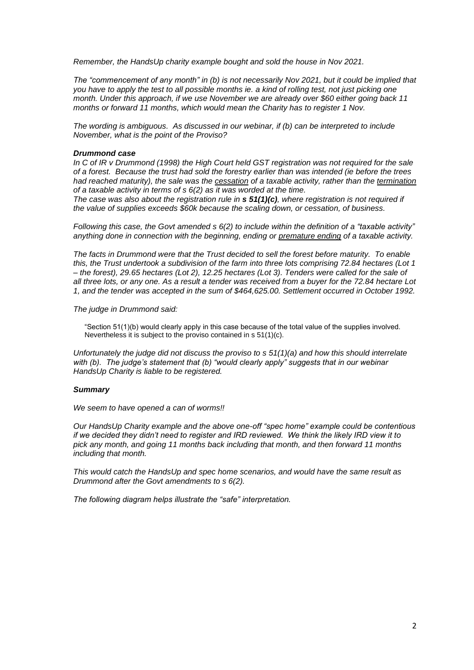*Remember, the HandsUp charity example bought and sold the house in Nov 2021.*

*The "commencement of any month" in (b) is not necessarily Nov 2021, but it could be implied that you have to apply the test to all possible months ie. a kind of rolling test, not just picking one month. Under this approach, if we use November we are already over \$60 either going back 11 months or forward 11 months, which would mean the Charity has to register 1 Nov.* 

*The wording is ambiguous. As discussed in our webinar, if (b) can be interpreted to include November, what is the point of the Proviso?*

#### *Drummond case*

*In C of IR v Drummond (1998) the High Court held GST registration was not required for the sale of a forest. Because the trust had sold the forestry earlier than was intended (ie before the trees had reached maturity), the sale was the cessation of a taxable activity, rather than the termination of a taxable activity in terms of s 6(2) as it was worded at the time.*

*The case was also about the registration rule in s 51(1)(c), where registration is not required if the value of supplies exceeds \$60k because the scaling down, or cessation, of business.*

*Following this case, the Govt amended s 6(2) to include within the definition of a "taxable activity" anything done in connection with the beginning, ending or premature ending of a taxable activity.*

*The facts in Drummond were that the Trust decided to sell the forest before maturity. To enable this, the Trust undertook a subdivision of the farm into three lots comprising 72.84 hectares (Lot 1 – the forest), 29.65 hectares (Lot 2), 12.25 hectares (Lot 3). Tenders were called for the sale of all three lots, or any one. As a result a tender was received from a buyer for the 72.84 hectare Lot 1, and the tender was accepted in the sum of \$464,625.00. Settlement occurred in October 1992.*

*The judge in Drummond said:*

"Section 51(1)(b) would clearly apply in this case because of the total value of the supplies involved. Nevertheless it is subject to the proviso contained in s 51(1)(c).

*Unfortunately the judge did not discuss the proviso to s 51(1)(a) and how this should interrelate with (b). The judge's statement that (b) "would clearly apply" suggests that in our webinar HandsUp Charity is liable to be registered.*

#### *Summary*

*We seem to have opened a can of worms!!* 

*Our HandsUp Charity example and the above one-off "spec home" example could be contentious if we decided they didn't need to register and IRD reviewed. We think the likely IRD view it to pick any month, and going 11 months back including that month, and then forward 11 months including that month.*

*This would catch the HandsUp and spec home scenarios, and would have the same result as Drummond after the Govt amendments to s 6(2).*

*The following diagram helps illustrate the "safe" interpretation.*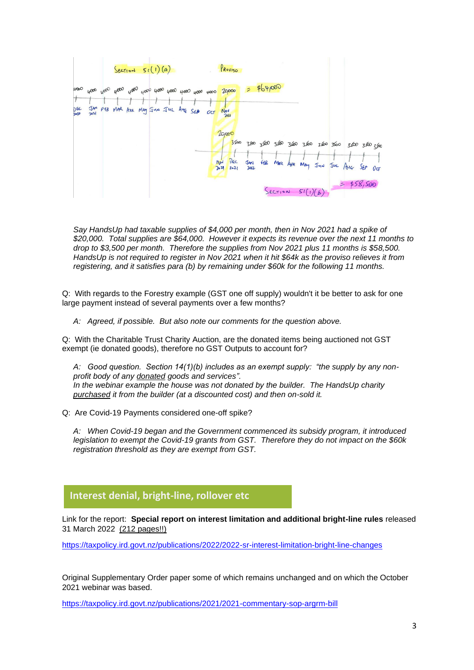

*Say HandsUp had taxable supplies of \$4,000 per month, then in Nov 2021 had a spike of \$20,000. Total supplies are \$64,000. However it expects its revenue over the next 11 months to drop to \$3,500 per month. Therefore the supplies from Nov 2021 plus 11 months is \$58,500. HandsUp is not required to register in Nov 2021 when it hit \$64k as the proviso relieves it from registering, and it satisfies para (b) by remaining under \$60k for the following 11 months.*

Q: With regards to the Forestry example (GST one off supply) wouldn't it be better to ask for one large payment instead of several payments over a few months?

*A: Agreed, if possible. But also note our comments for the question above.*

Q: With the Charitable Trust Charity Auction, are the donated items being auctioned not GST exempt (ie donated goods), therefore no GST Outputs to account for?

*A: Good question. Section 14(1)(b) includes as an exempt supply: "the supply by any nonprofit body of any donated goods and services". In the webinar example the house was not donated by the builder. The HandsUp charity purchased it from the builder (at a discounted cost) and then on-sold it.*

Q: Are Covid-19 Payments considered one-off spike?

*A: When Covid-19 began and the Government commenced its subsidy program, it introduced legislation to exempt the Covid-19 grants from GST. Therefore they do not impact on the \$60k registration threshold as they are exempt from GST.*

## **Interest denial, bright-line, rollover etc**

Link for the report: **Special report on interest limitation and additional bright-line rules** released 31 March 2022 (212 pages!!) **Glorio**

<https://taxpolicy.ird.govt.nz/publications/2022/2022-sr-interest-limitation-bright-line-changes>

Original Supplementary Order paper some of which remains unchanged and on which the October 2021 webinar was based.

<https://taxpolicy.ird.govt.nz/publications/2021/2021-commentary-sop-argrm-bill>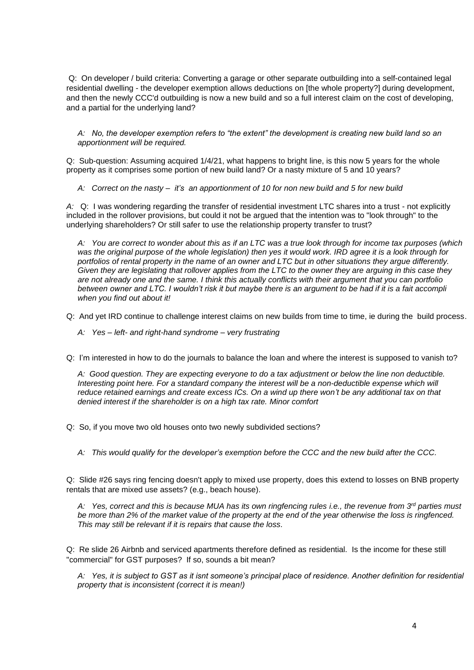Q: On developer / build criteria: Converting a garage or other separate outbuilding into a self-contained legal residential dwelling - the developer exemption allows deductions on [the whole property?] during development, and then the newly CCC'd outbuilding is now a new build and so a full interest claim on the cost of developing, and a partial for the underlying land?

*A: No, the developer exemption refers to "the extent" the development is creating new build land so an apportionment will be required.* 

Q: Sub-question: Assuming acquired 1/4/21, what happens to bright line, is this now 5 years for the whole property as it comprises some portion of new build land? Or a nasty mixture of 5 and 10 years?

*A: Correct on the nasty – it's an apportionment of 10 for non new build and 5 for new build*

*A:* Q: I was wondering regarding the transfer of residential investment LTC shares into a trust - not explicitly included in the rollover provisions, but could it not be argued that the intention was to "look through" to the underlying shareholders? Or still safer to use the relationship property transfer to trust?

*A: You are correct to wonder about this as if an LTC was a true look through for income tax purposes (which was the original purpose of the whole legislation) then yes it would work. IRD agree it is a look through for*  portfolios of rental property in the name of an owner and LTC but in other situations they argue differently. *Given they are legislating that rollover applies from the LTC to the owner they are arguing in this case they are not already one and the same. I think this actually conflicts with their argument that you can portfolio between owner and LTC. I wouldn't risk it but maybe there is an argument to be had if it is a fait accompli when you find out about it!*

Q: And yet IRD continue to challenge interest claims on new builds from time to time, ie during the build process.

*A: Yes – left- and right-hand syndrome – very frustrating*

Q: I'm interested in how to do the journals to balance the loan and where the interest is supposed to vanish to?

*A: Good question. They are expecting everyone to do a tax adjustment or below the line non deductible. Interesting point here. For a standard company the interest will be a non-deductible expense which will reduce retained earnings and create excess ICs. On a wind up there won't be any additional tax on that denied interest if the shareholder is on a high tax rate. Minor comfort*

Q: So, if you move two old houses onto two newly subdivided sections?

*A: This would qualify for the developer's exemption before the CCC and the new build after the CCC.*

Q: Slide #26 says ring fencing doesn't apply to mixed use property, does this extend to losses on BNB property rentals that are mixed use assets? (e.g., beach house).

*A: Yes, correct and this is because MUA has its own ringfencing rules i.e., the revenue from 3rd parties must be more than 2% of the market value of the property at the end of the year otherwise the loss is ringfenced. This may still be relevant if it is repairs that cause the loss.*

Q: Re slide 26 Airbnb and serviced apartments therefore defined as residential. Is the income for these still "commercial" for GST purposes? If so, sounds a bit mean?

*A: Yes, it is subject to GST as it isnt someone's principal place of residence. Another definition for residential property that is inconsistent (correct it is mean!)*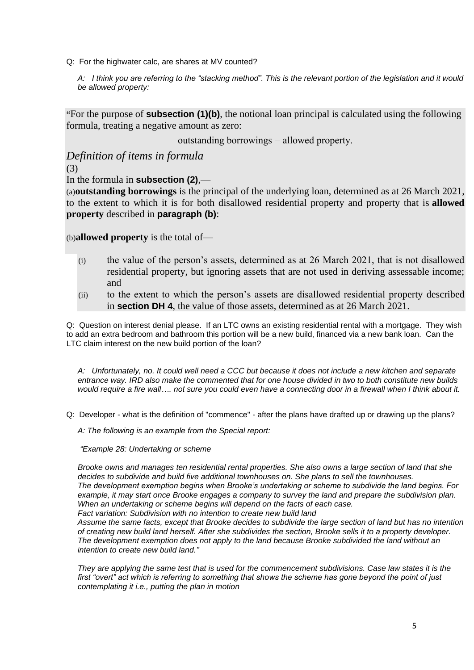Q: For the highwater calc, are shares at MV counted?

*A: I think you are referring to the "stacking method". This is the relevant portion of the legislation and it would be allowed property:*

**"**For the purpose of **subsection (1)(b)**, the notional loan principal is calculated using the following formula, treating a negative amount as zero:

outstanding borrowings − allowed property.

# *Definition of items in formula*

(3)

In the formula in **subsection (2)**,—

(a)**outstanding borrowings** is the principal of the underlying loan, determined as at 26 March 2021, to the extent to which it is for both disallowed residential property and property that is **allowed property** described in **paragraph (b)**:

(b)**allowed property** is the total of—

- (i) the value of the person's assets, determined as at 26 March 2021, that is not disallowed residential property, but ignoring assets that are not used in deriving assessable income; and
- (ii) to the extent to which the person's assets are disallowed residential property described in **section DH 4**, the value of those assets, determined as at 26 March 2021.

Q: Question on interest denial please. If an LTC owns an existing residential rental with a mortgage. They wish to add an extra bedroom and bathroom this portion will be a new build, financed via a new bank loan. Can the LTC claim interest on the new build portion of the loan?

*A: Unfortunately, no. It could well need a CCC but because it does not include a new kitchen and separate entrance way. IRD also make the commented that for one house divided in two to both constitute new builds would require a fire wall…. not sure you could even have a connecting door in a firewall when I think about it.* 

Q: Developer - what is the definition of "commence" - after the plans have drafted up or drawing up the plans?

*A: The following is an example from the Special report:*

*"Example 28: Undertaking or scheme*

*Brooke owns and manages ten residential rental properties. She also owns a large section of land that she decides to subdivide and build five additional townhouses on. She plans to sell the townhouses. The development exemption begins when Brooke's undertaking or scheme to subdivide the land begins. For example, it may start once Brooke engages a company to survey the land and prepare the subdivision plan. When an undertaking or scheme begins will depend on the facts of each case. Fact variation: Subdivision with no intention to create new build land*

*Assume the same facts, except that Brooke decides to subdivide the large section of land but has no intention of creating new build land herself. After she subdivides the section, Brooke sells it to a property developer. The development exemption does not apply to the land because Brooke subdivided the land without an intention to create new build land."*

*They are applying the same test that is used for the commencement subdivisions. Case law states it is the first "overt" act which is referring to something that shows the scheme has gone beyond the point of just contemplating it i.e., putting the plan in motion*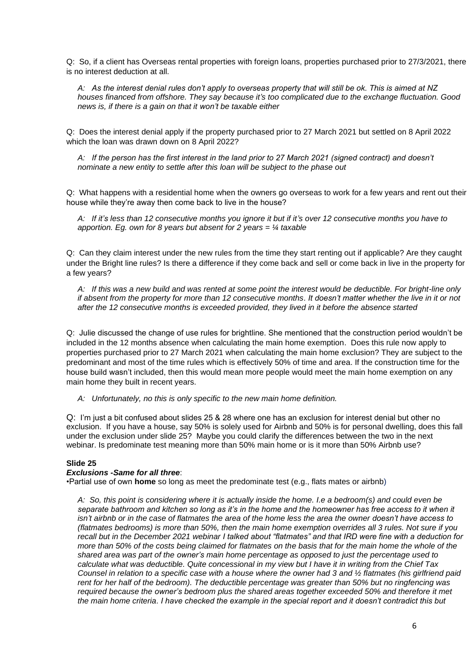Q: So, if a client has Overseas rental properties with foreign loans, properties purchased prior to 27/3/2021, there is no interest deduction at all.

*A: As the interest denial rules don't apply to overseas property that will still be ok. This is aimed at NZ houses financed from offshore. They say because it's too complicated due to the exchange fluctuation. Good news is, if there is a gain on that it won't be taxable either*

Q: Does the interest denial apply if the property purchased prior to 27 March 2021 but settled on 8 April 2022 which the loan was drawn down on 8 April 2022?

*A: If the person has the first interest in the land prior to 27 March 2021 (signed contract) and doesn't nominate a new entity to settle after this loan will be subject to the phase out*

Q: What happens with a residential home when the owners go overseas to work for a few years and rent out their house while they're away then come back to live in the house?

*A: If it's less than 12 consecutive months you ignore it but if it's over 12 consecutive months you have to apportion. Eg. own for 8 years but absent for 2 years = ¼ taxable*

Q: Can they claim interest under the new rules from the time they start renting out if applicable? Are they caught under the Bright line rules? Is there a difference if they come back and sell or come back in live in the property for a few years?

*A: If this was a new build and was rented at some point the interest would be deductible. For bright-line only if absent from the property for more than 12 consecutive months. It doesn't matter whether the live in it or not after the 12 consecutive months is exceeded provided, they lived in it before the absence started*

Q: Julie discussed the change of use rules for brightline. She mentioned that the construction period wouldn't be included in the 12 months absence when calculating the main home exemption. Does this rule now apply to properties purchased prior to 27 March 2021 when calculating the main home exclusion? They are subject to the predominant and most of the time rules which is effectively 50% of time and area. If the construction time for the house build wasn't included, then this would mean more people would meet the main home exemption on any main home they built in recent years.

*A: Unfortunately, no this is only specific to the new main home definition.* 

Q: I'm just a bit confused about slides 25 & 28 where one has an exclusion for interest denial but other no exclusion. If you have a house, say 50% is solely used for Airbnb and 50% is for personal dwelling, does this fall under the exclusion under slide 25? Maybe you could clarify the differences between the two in the next webinar. Is predominate test meaning more than 50% main home or is it more than 50% Airbnb use?

#### **Slide 25**

#### *Exclusions -Same for all three*:

•Partial use of own **home** so long as meet the predominate test (e.g., flats mates or airbnb)

*A: So, this point is considering where it is actually inside the home. I.e a bedroom(s) and could even be separate bathroom and kitchen so long as it's in the home and the homeowner has free access to it when it isn't airbnb or in the case of flatmates the area of the home less the area the owner doesn't have access to (flatmates bedrooms) is more than 50%, then the main home exemption overrides all 3 rules. Not sure if you recall but in the December 2021 webinar I talked about "flatmates" and that IRD were fine with a deduction for more than 50% of the costs being claimed for flatmates on the basis that for the main home the whole of the shared area was part of the owner's main home percentage as opposed to just the percentage used to calculate what was deductible. Quite concessional in my view but I have it in writing from the Chief Tax Counsel in relation to a specific case with a house where the owner had 3 and ½ flatmates (his girlfriend paid rent for her half of the bedroom). The deductible percentage was greater than 50% but no ringfencing was required because the owner's bedroom plus the shared areas together exceeded 50% and therefore it met the main home criteria. I have checked the example in the special report and it doesn't contradict this but*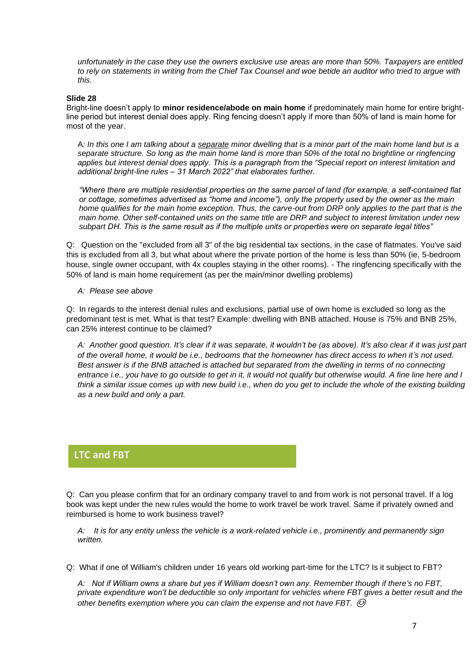*unfortunately in the case they use the owners exclusive use areas are more than 50%. Taxpayers are entitled to rely on statements in writing from the Chief Tax Counsel and woe betide an auditor who tried to argue with this.*

#### **Slide 28**

Bright-line doesn't apply to **minor residence/abode on main home** if predominately main home for entire brightline period but interest denial does apply. Ring fencing doesn't apply if more than 50% of land is main home for most of the year.

A*: In this one I am talking about a separate minor dwelling that is a minor part of the main home land but is a separate structure. So long as the main home land is more than 50% of the total no brightline or ringfencing applies but interest denial does apply. This is a paragraph from the "Special report on interest limitation and additional bright-line rules – 31 March 2022" that elaborates further.*

*"Where there are multiple residential properties on the same parcel of land (for example, a self-contained flat or cottage, sometimes advertised as "home and income"), only the property used by the owner as the main home qualifies for the main home exception. Thus, the carve-out from DRP only applies to the part that is the main home. Other self-contained units on the same title are DRP and subject to interest limitation under new subpart DH. This is the same result as if the multiple units or properties were on separate legal titles"*

Q: Question on the "excluded from all 3" of the big residential tax sections, in the case of flatmates. You've said this is excluded from all 3, but what about where the private portion of the home is less than 50% (ie, 5-bedroom house, single owner occupant, with 4x couples staying in the other rooms). - The ringfencing specifically with the 50% of land is main home requirement (as per the main/minor dwelling problems)

*A: Please see above*

Q: In regards to the interest denial rules and exclusions, partial use of own home is excluded so long as the predominant test is met. What is that test? Example: dwelling with BNB attached. House is 75% and BNB 25%, can 25% interest continue to be claimed?

*A: Another good question. It's clear if it was separate, it wouldn't be (as above). It's also clear if it was just part of the overall home, it would be i.e., bedrooms that the homeowner has direct access to when it's not used. Best answer is if the BNB attached is attached but separated from the dwelling in terms of no connecting entrance i.e., you have to go outside to get in it, it would not qualify but otherwise would. A fine line here and I think a similar issue comes up with new build i.e., when do you get to include the whole of the existing building as a new build and only a part.*

## **LTC and FBT**

Q: Can you please confirm that for an ordinary company travel to and from work is not personal travel. If a log **Glorio**book was kept under the new rules would the home to work travel be work travel. Same if privately owned and reimbursed is home to work business travel?

*A: It is for any entity unless the vehicle is a work-related vehicle i.e., prominently and permanently sign written.*

Q: What if one of William's children under 16 years old working part-time for the LTC? Is it subject to FBT?

*A: Not if William owns a share but yes if William doesn't own any. Remember though if there's no FBT, private expenditure won't be deductible so only important for vehicles where FBT gives a better result and the other benefits exemption where you can claim the expense and not have FBT.*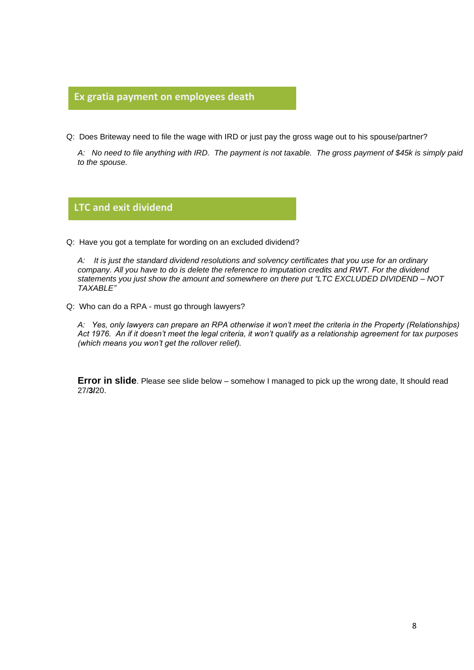## **Ex gratia payment on employees death**

Q: Does Briteway need to file the wage with IRD or just pay the gross wage out to his spouse/partner? **Glorio**

*A: No need to file anything with IRD. The payment is not taxable. The gross payment of \$45k is simply paid to the spouse.*

## **LTC and exit dividend**

Q: Have you got a template for wording on an excluded dividend? **Glorio**

*A: It is just the standard dividend resolutions and solvency certificates that you use for an ordinary company. All you have to do is delete the reference to imputation credits and RWT. For the dividend statements you just show the amount and somewhere on there put "LTC EXCLUDED DIVIDEND – NOT TAXABLE"*

Q: Who can do a RPA - must go through lawyers?

*A: Yes, only lawyers can prepare an RPA otherwise it won't meet the criteria in the Property (Relationships) Act 1976. An if it doesn't meet the legal criteria, it won't qualify as a relationship agreement for tax purposes (which means you won't get the rollover relief).*

**Error in slide**. Please see slide below – somehow I managed to pick up the wrong date, It should read 27/**3/**20.